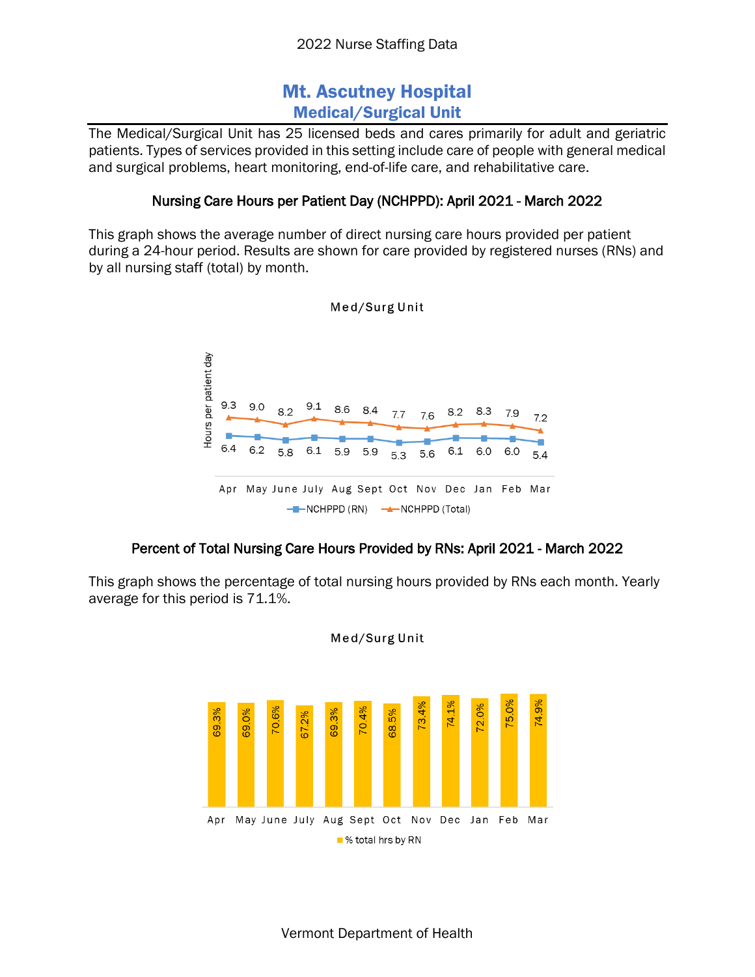# Mt. Ascutney Hospital Medical/Surgical Unit

The Medical/Surgical Unit has 25 licensed beds and cares primarily for adult and geriatric patients. Types of services provided in this setting include care of people with general medical and surgical problems, heart monitoring, end-of-life care, and rehabilitative care.

### Nursing Care Hours per Patient Day (NCHPPD): April 2021 - March 2022

This graph shows the average number of direct nursing care hours provided per patient during a 24-hour period. Results are shown for care provided by registered nurses (RNs) and by all nursing staff (total) by month.



### Med/Surg Unit

## Percent of Total Nursing Care Hours Provided by RNs: April 2021 - March 2022

This graph shows the percentage of total nursing hours provided by RNs each month. Yearly average for this period is 71.1%.